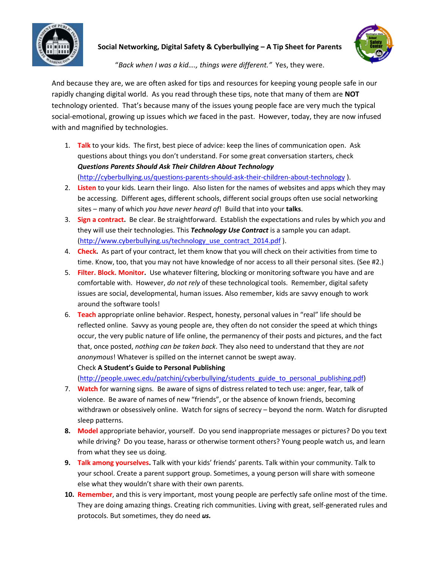

**Social Networking, Digital Safety & Cyberbullying – A Tip Sheet for Parents**



"*Back when I was a kid…., things were different."* Yes, they were.

And because they are, we are often asked for tips and resources for keeping young people safe in our rapidly changing digital world. As you read through these tips, note that many of them are **NOT** technology oriented. That's because many of the issues young people face are very much the typical social-emotional, growing up issues which *we* faced in the past. However, today, they are now infused with and magnified by technologies.

- 1. **Talk** to your kids. The first, best piece of advice: keep the lines of communication open. Ask questions about things you don't understand. For some great conversation starters, check *Questions Parents Should Ask Their Children About Technology* [\(http://cyberbullying.us/questions-parents-should-ask-their-children-about-technology](http://cyberbullying.us/questions-parents-should-ask-their-children-about-technology) ).
- 2. **Listen** to your kids. Learn their lingo. Also listen for the names of websites and apps which they may be accessing. Different ages, different schools, different social groups often use social networking sites – many of which *you have never heard of*! Build that into your **talks**.
- 3. **Sign a contract.** Be clear. Be straightforward. Establish the expectations and rules by which *you* and they will use their technologies. This *Technology Use Contract* is a sample you can adapt. [\(http://www.cyberbullying.us/technology\\_use\\_contract\\_2014.pdf](http://www.cyberbullying.us/technology_use_contract_2014.pdf) ).
- 4. **Check.** As part of your contract, let them know that you will check on their activities from time to time. Know, too, that you may not have knowledge of nor access to all their personal sites. (See #2.)
- 5. **Filter. Block. Monitor.** Use whatever filtering, blocking or monitoring software you have and are comfortable with. However, *do not rely* of these technological tools. Remember, digital safety issues are social, developmental, human issues. Also remember, kids are savvy enough to work around the software tools!
- 6. **Teach** appropriate online behavior. Respect, honesty, personal values in "real" life should be reflected online. Savvy as young people are, they often do not consider the speed at which things occur, the very public nature of life online, the permanency of their posts and pictures, and the fact that, once posted, *nothing can be taken back*. They also need to understand that they are *not anonymous*! Whatever is spilled on the internet cannot be swept away.

Check **A Student's Guide to Personal Publishing**

[\(http://people.uwec.edu/patchinj/cyberbullying/students\\_guide\\_to\\_personal\\_publishing.pdf\)](http://people.uwec.edu/patchinj/cyberbullying/students_guide_to_personal_publishing.pdf)

- 7. **Watch** for warning signs. Be aware of signs of distress related to tech use: anger, fear, talk of violence. Be aware of names of new "friends", or the absence of known friends, becoming withdrawn or obsessively online. Watch for signs of secrecy – beyond the norm. Watch for disrupted sleep patterns.
- **8. Model** appropriate behavior, yourself. Do you send inappropriate messages or pictures? Do you text while driving? Do you tease, harass or otherwise torment others? Young people watch us, and learn from what they see us doing.
- **9. Talk among yourselves.** Talk with your kids' friends' parents. Talk within your community. Talk to your school. Create a parent support group. Sometimes, a young person will share with someone else what they wouldn't share with their own parents.
- **10. Remember**, and this is very important, most young people are perfectly safe online most of the time. They are doing amazing things. Creating rich communities. Living with great, self-generated rules and protocols. But sometimes, they do need *us.*